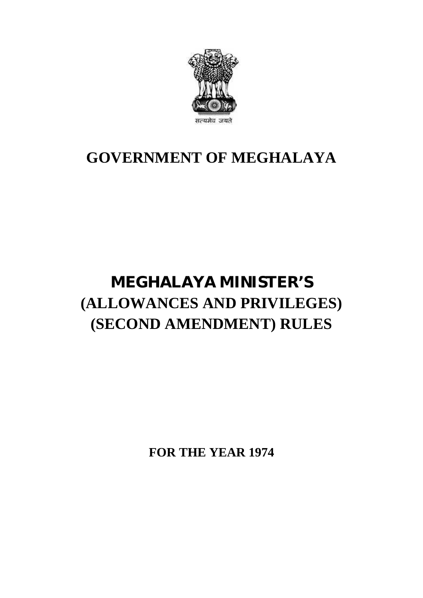

### **GOVERNMENT OF MEGHALAYA**

## **MEGHALAYA MINISTER'S (ALLOWANCES AND PRIVILEGES) (SECOND AMENDMENT) RULES**

**FOR THE YEAR 1974**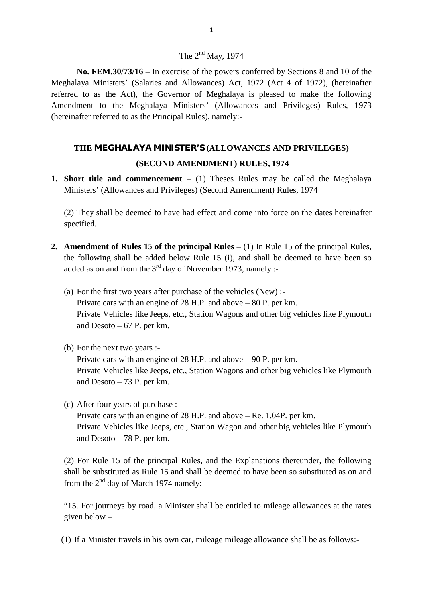#### The  $2<sup>nd</sup>$  May, 1974

**No. FEM.30/73/16** – In exercise of the powers conferred by Sections 8 and 10 of the Meghalaya Ministers' (Salaries and Allowances) Act, 1972 (Act 4 of 1972), (hereinafter referred to as the Act), the Governor of Meghalaya is pleased to make the following The 2<sup>nd</sup> May, 1974<br> **No. FEM.30/73/16** – In exercise of the powers conferred by Sections 8 and 10 of the<br>
Meghalaya Ministers' (Salaries and Allowances) Act, 1972 (Act 4 of 1972), (hereinafter<br>
referred to as the Act), th (hereinafter referred to as the Principal Rules), namely:-

# **THE MEGHALAYA MINISTER'S (ALLOWANCES AND PRIVILEGES)** S the Principal Rules), namely:-<br> **(SECOND AMENDMENT) RULES, 1974**<br> **(SECOND AMENDMENT) RULES, 1974**<br> **nmencement** – (1) Theses Rules may be called t THE MEGHALAYA MINISTER'S (ALLOWANCES AND PRIVILEGES)<br>
(SECOND AMENDMENT) RULES, 1974<br>
Short title and commencement – (1) Theses Rules may be called the Meg<br>
Ministers' (Allowances and Privileges) (Second Amendment) Rules,

**1. Short title and commencement** – (1) Theses Rules may be called the Meghalaya<br>Ministers' (Allowances and Privileges) (Second Amendment) Rules, 1974

(SECOND AMENDMENT) RULES, 1974<br>Short title and commencement  $-$  (1) Theses Rules may be called the Meghalaya<br>Ministers' (Allowances and Privileges) (Second Amendment) Rules, 1974<br>(2) They shall be deemed to have had effec specified.

- **2. Amendment of Rules 15 of the principal Rules** (1) In Rule 15 of the principal Rules, the following shall be added below Rule 15 (i), and shall be deemed to have been so (2) They shall be deemed to have had effect and come into force on the dates hereinafter specified.<br> **Amendment of Rules 15 of the principal Rules** – (1) In Rule 15 of the principal Rules, the following shall be added bel added as on and from the  $3<sup>rd</sup>$  day of November 1973, namely :-**Amendment of Rules 15 of the principal Rules** – (1) In Rule 15 of the following shall be added below Rule 15 (i), and shall be deemedded as on and from the  $3^{\text{rd}}$  day of November 1973, namely :-<br>(a) For the first two the following shall be added below Rule 15 (i), and shall be deemed to have been so added as on and from the  $3^{\text{rd}}$  day of November 1973, namely :-<br>(a) For the first two years after purchase of the vehicles (New) :-
	- Private Vehicles like Jeeps, etc., Station Wagons and other big vehicles like Plymouth and Desoto  $-67$  P. per km. Private cars with an engine of 28 H.P. and above  $-80$  P. per km.<br>Private Vehicles like Jeeps, etc., Station Wagons and other big ve<br>and Desoto  $-67$  P. per km.<br>(b) For the next two years :-
	-

Private cars with an engine of 28 H.P. and above – 90 P. per km. and Desoto – 67 P. per km.<br>
For the next two years :-<br>
Private cars with an engine of 28 H.P. and above – 90 P. per km.<br>
Private Vehicles like Jeeps, etc., Station Wagons and other big vehicles like Plymouth<br>
and Desoto – and Desoto – 73 P. per km. Private cars with an engine of 28 H.<br>Private Vehicles like Jeeps, etc., Sta<br>and Desoto – 73 P. per km.<br>(c) After four years of purchase :-<br>Private cars with an engine of 28 H.

Private cars with an engine of 28 H.P. and above – Re. 1.04P. per km. Private Vehicles like Jeeps, etc., Station Wagon and other big vehicles like Plymouth After four years of purchase :-<br>Private cars with an engine of 2<br>Private Vehicles like Jeeps, etc.<br>and Desoto – 78 P. per km.

(2) For Rule 15 of the principal Rules, and the Explanations thereunder, the following shall be substituted as Rule 15 and shall be deemed to have been so substituted as on and from the  $2<sup>nd</sup>$  day of March 1974 namely:-

"15. For journeys by road, a Minister shall be entitled to mileage allowances at the rates given below – " $15.$  For journeys by road, a Minister shall be entitled to mileage allowances at the rigiven below –<br>(1) If a Minister travels in his own car, mileage mileage allowance shall be as follows:-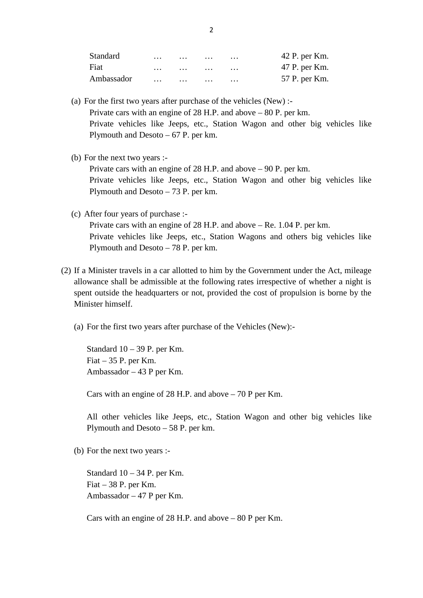|            |          | 2 |   |               |
|------------|----------|---|---|---------------|
| Standard   | .        |   | . | 42 P. per Km. |
| Fiat       | $\cdots$ |   | . | 47 P. per Km. |
| Ambassador |          |   | . | 57 P. per Km. |

- (a) For the first two years after purchase of the vehicles (New) :-<br>Private cars with an engine of 28 H.P. and above 80 P. per km.<br>Private vehicles like Jeeps, etc., Station Wagon and other big vehicles like Plymouth and Desoto – 67 P. per km. Private cars with an engine of<br>Private vehicles like Jeeps,<br>Plymouth and Desoto  $-67$  P.<br>(b) For the next two years :-<br>Private cars with an engine of
- 

Private cars with an engine of 28 H.P. and above – 90 P. per km. Private vehicles like Jeeps, etc., Station Wagon and other big vehicles like or the next two years :-<br>Private cars with an engine of 28 H.P. and<br>Private vehicles like Jeeps, etc., Statio<br>Plymouth and Desoto – 73 P. per km. Private cars with an engine of 28 H<br>Private vehicles like Jeeps, etc.,<br>Plymouth and Desoto – 73 P. per k<br>(c) After four years of purchase :-<br>Private cars with an engine of 28 H

Private cars with an engine of 28 H.P. and above – Re. 1.04 P. per km. Private vehicles like Jeeps, etc., Station Wagons and others big vehicles like Plymouth and Desoto – 78 P. per km. Private cars with an engine of 28 H.P. and above  $-$  Re. 1.04 P. per km.<br>Private vehicles like Jeeps, etc., Station Wagons and others big vehicles like<br>Plymouth and Desoto  $-$  78 P. per km.<br>(2) If a Minister travels in a

- allowance shall be admissible at the following rates irrespective of whether a night is spent outside the headquarters or not, provided the cost of propulsion is borne by the Minister himself. (a) For the first two years after purchase of the Vehicles (New):<br>
(a) For the first two years after purchase of the Vehicles (New):-
	-

ister himself.<br>For the first two years after purch<br>Standard 10 – 39 P. per Km.<br>Fiat – 35 P. per Km. Standard  $10 - 39$  P. per Km.<br>Fiat  $- 35$  P. per Km.<br>Ambassador  $- 43$  P per Km. For the first two years after purch<br>Standard 10 – 39 P. per Km.<br>Fiat – 35 P. per Km.<br>Ambassador – 43 P per Km.

Cars with an engine of 28 H.P. and above – 70 P per Km.

Ambassador – 43 P per Km.<br>Cars with an engine of 28 H.P. and above – 70 P per Km.<br>All other vehicles like Jeeps, etc., Station Wagon and other big vehicles like<br>Plymouth and Desoto – 58 P. per km. Plymouth and Desoto – 58 P. per km. All other vehicles like Jeeps<br>Plymouth and Desoto – 58 P. p<br>(b) For the next two years :-

Standard  $10 - 34$  P. per Km. Fiat  $-38$  P. per Km. Ambassador – 47 P per Km.

Cars with an engine of 28 H.P. and above – 80 P per Km.